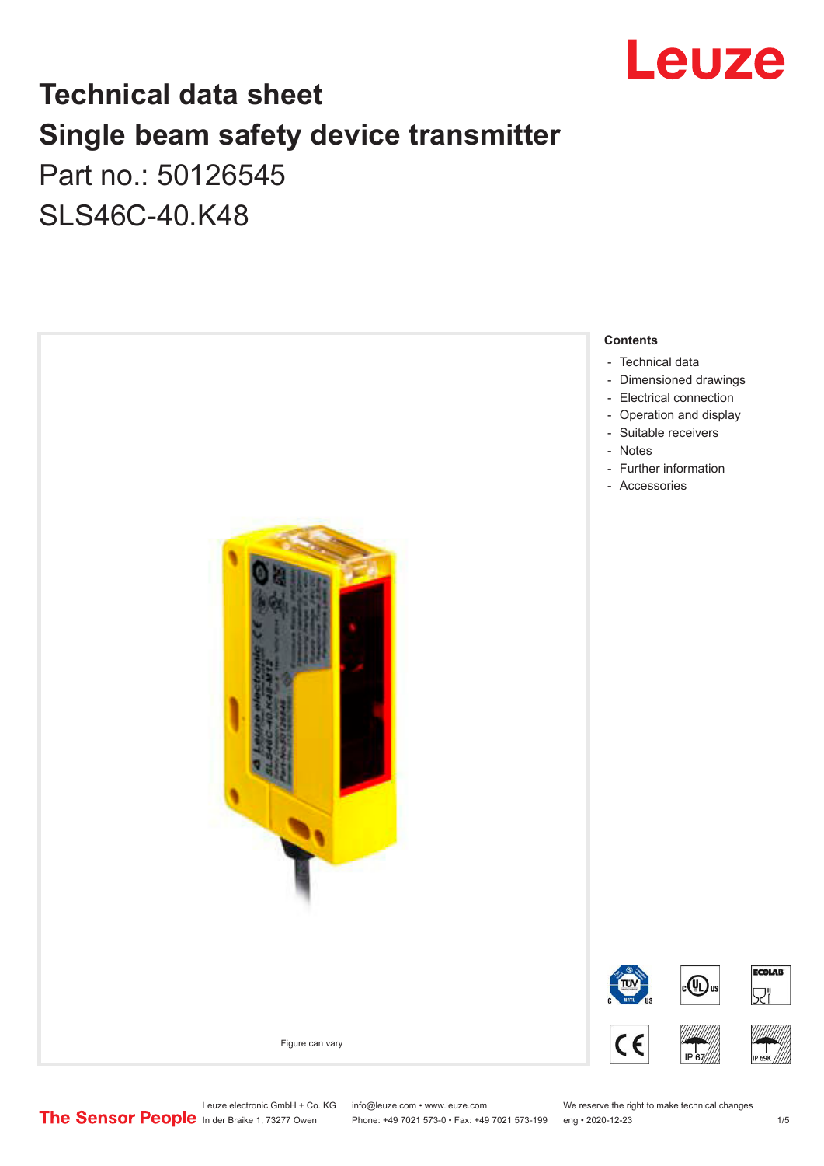

# **Technical data sheet Single beam safety device transmitter** Part no.: 50126545

SLS46C-40.K48



Leuze electronic GmbH + Co. KG info@leuze.com • www.leuze.com We reserve the right to make technical changes<br>
The Sensor People in der Braike 1, 73277 Owen Phone: +49 7021 573-0 • Fax: +49 7021 573-199 eng • 2020-12-23

Phone: +49 7021 573-0 • Fax: +49 7021 573-199 eng • 2020-12-23 1 /5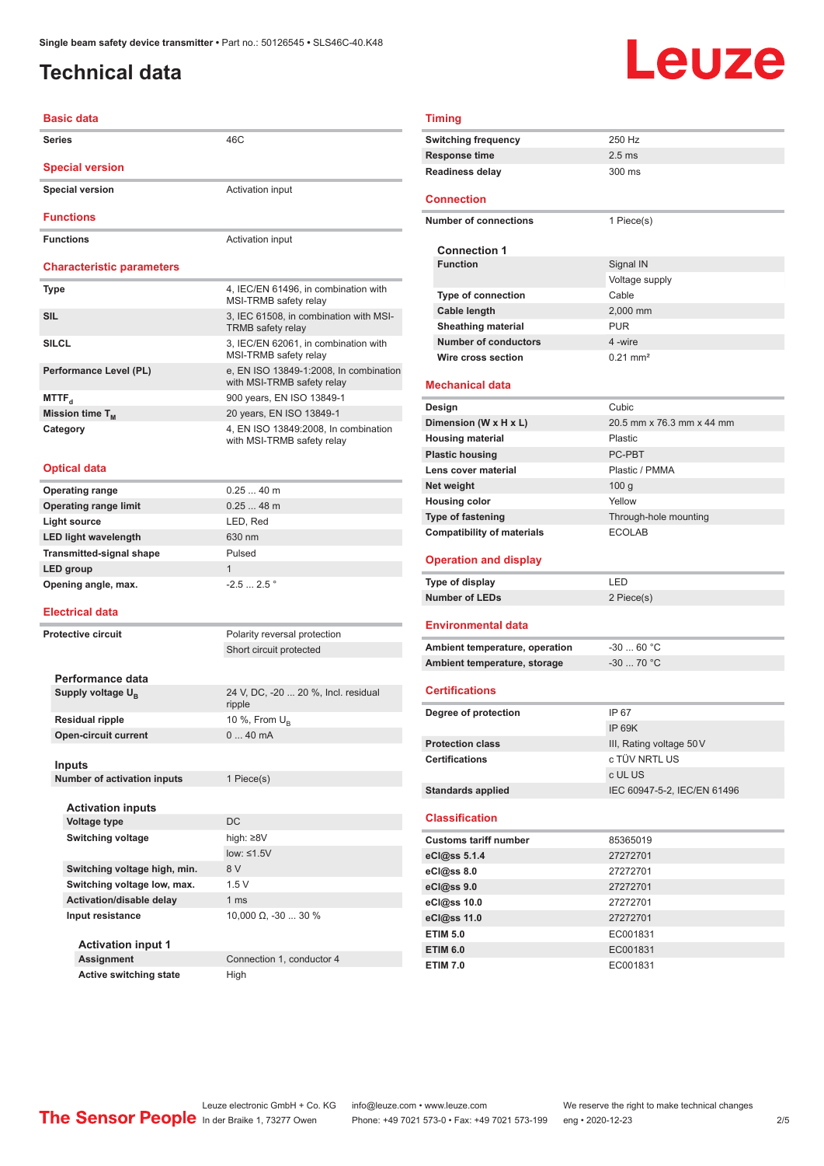### <span id="page-1-0"></span>**Technical data**

# Leuze

#### **Basic data Series** 46C **Special version Special version Activation input Functions Functions** Activation input **Characteristic parameters Type** 4, IEC/EN 61496, in combination with MSI-TRMB safety relay **SIL** 3, IEC 61508, in combination with MSI-TRMB safety relay **SILCL** 3, IEC/EN 62061, in combination with MSI-TRMB safety relay Performance Level (PL) e, EN ISO 13849-1:2008, In combination with MSI-TRMB safety relay **MTTF**<sub>d</sub> 900 years, EN ISO 13849-1 **Mission time T<sub>M</sub>** 20 years, EN ISO 13849-1 **Category** 4, EN ISO 13849:2008, In combination with MSI-TRMB safety relay **Optical data Operating range** 0.25 ... 40 m **Operating range limit** 0.25 ... 48 m **Light source** LED, Red **LED light wavelength** 630 nm **Transmitted-signal shape** Pulsed **LED group** 1 **Opening angle, max.** -2.5 ... 2.5 ° **Electrical data Protective circuit** Polarity reversal protection Short circuit protected **Performance data Supply voltage U<sub>B</sub>** 24 V, DC, -20 ... 20 %, Incl. residual ripple **Residual ripple** 10 %, From U<sub>B</sub><br> **Open-circuit current** 0 ... 40 mA **Open-circuit current Inputs Number of activation inputs** 1 Piece(s) **Activation inputs Voltage type** DC **Switching voltage** high: ≥8V low: ≤1.5V **Switching voltage high, min.** 8 V **Switching voltage low, max.** 1.5 V Activation/disable delay 1 ms **Input resistance** 10,000 Ω, -30 ... 30 % **Activation input 1 Assignment** Connection 1, conductor 4

**Active switching state** High

| <b>Timing</b>                                                  |                             |
|----------------------------------------------------------------|-----------------------------|
| <b>Switching frequency</b>                                     | 250 Hz                      |
| <b>Response time</b>                                           | $2.5$ ms                    |
| <b>Readiness delay</b>                                         | 300 ms                      |
| <b>Connection</b>                                              |                             |
| <b>Number of connections</b>                                   | 1 Piece(s)                  |
|                                                                |                             |
| <b>Connection 1</b>                                            |                             |
| <b>Function</b>                                                | Signal IN                   |
|                                                                | Voltage supply              |
| Type of connection                                             | Cable                       |
| Cable length                                                   | 2,000 mm                    |
| <b>Sheathing material</b>                                      | <b>PUR</b>                  |
| <b>Number of conductors</b>                                    | 4 -wire                     |
| Wire cross section                                             | $0.21 \text{ mm}^2$         |
| Mechanical data                                                |                             |
| Design                                                         | Cubic                       |
| Dimension (W x H x L)                                          | 20.5 mm x 76.3 mm x 44 mm   |
| <b>Housing material</b>                                        | Plastic                     |
| <b>Plastic housing</b>                                         | PC-PBT                      |
| Lens cover material                                            | Plastic / PMMA              |
| Net weight                                                     | 100 <sub>g</sub>            |
| <b>Housing color</b>                                           | Yellow                      |
| <b>Type of fastening</b>                                       | Through-hole mounting       |
| <b>Compatibility of materials</b>                              | <b>ECOLAB</b>               |
|                                                                |                             |
| <b>Operation and display</b>                                   |                             |
|                                                                | LED                         |
| <b>Type of display</b><br><b>Number of LEDs</b>                | 2 Piece(s)                  |
| <b>Environmental data</b>                                      |                             |
|                                                                | $-3060 °C$                  |
| Ambient temperature, operation<br>Ambient temperature, storage | $-30$ 70 °C                 |
|                                                                |                             |
| <b>Certifications</b>                                          |                             |
| Degree of protection                                           | IP 67                       |
|                                                                | IP 69K                      |
| <b>Protection class</b>                                        | III, Rating voltage 50 V    |
| <b>Certifications</b>                                          | c TÜV NRTL US               |
|                                                                | c UL US                     |
| <b>Standards applied</b>                                       | IEC 60947-5-2, IEC/EN 61496 |
| <b>Classification</b>                                          |                             |
| <b>Customs tariff number</b>                                   | 85365019                    |
| eCl@ss 5.1.4                                                   | 27272701                    |
| eCl@ss 8.0                                                     | 27272701                    |
| eCl@ss 9.0                                                     | 27272701                    |
| eCl@ss 10.0                                                    | 27272701                    |
| eCl@ss 11.0                                                    | 27272701                    |
| <b>ETIM 5.0</b>                                                | EC001831                    |
| <b>ETIM 6.0</b>                                                | EC001831                    |

Leuze electronic GmbH + Co. KG info@leuze.com • www.leuze.com We reserve the right to make technical changes<br>
The Sensor People in der Braike 1, 73277 Owen Phone: +49 7021 573-0 • Fax: +49 7021 573-199 eng • 2020-12-23 Phone: +49 7021 573-0 • Fax: +49 7021 573-199 eng • 2020-12-23 2/5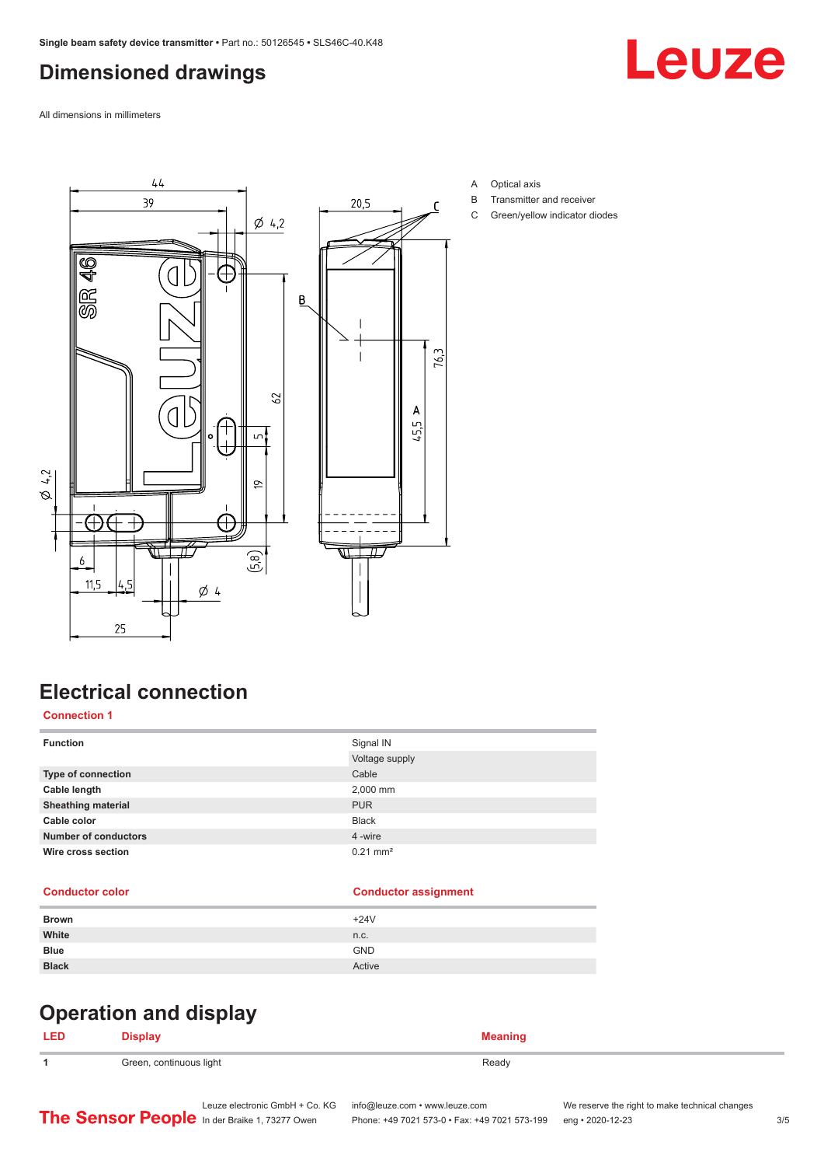## <span id="page-2-0"></span>**Dimensioned drawings**

Leuze

All dimensions in millimeters



- A Optical axis
- B Transmitter and receiver
- C Green/yellow indicator diodes

### **Electrical connection**

#### **Connection 1**

| <b>Function</b>             | Signal IN              |
|-----------------------------|------------------------|
|                             | Voltage supply         |
| <b>Type of connection</b>   | Cable                  |
| Cable length                | 2,000 mm               |
| <b>Sheathing material</b>   | <b>PUR</b>             |
| Cable color                 | <b>Black</b>           |
| <b>Number of conductors</b> | 4 -wire                |
| Wire cross section          | $0.21$ mm <sup>2</sup> |

#### **Conductor color Conductor assignment**

| <b>Brown</b> | $+24V$     |
|--------------|------------|
| White        | n.c.       |
| <b>Blue</b>  | <b>GND</b> |
| <b>Black</b> | Active     |

# **Operation and display**

#### **LED Display Meaning 1** Green, continuous light **Ready** Ready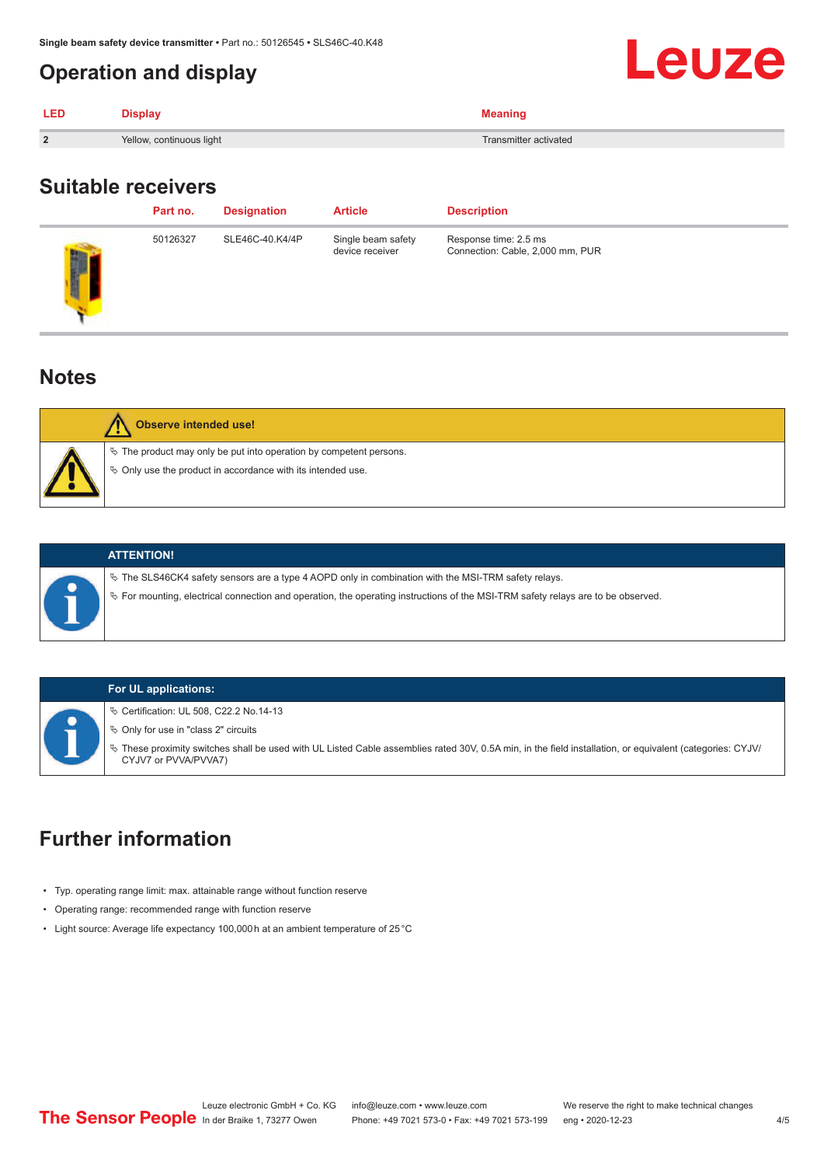#### <span id="page-3-0"></span>**Operation and display**

| <b>LED</b>     | <b>Display</b>           | <b>Meaning</b>        |
|----------------|--------------------------|-----------------------|
| $\overline{2}$ | Yellow, continuous light | Transmitter activated |

#### **Suitable receivers**

|                     | Part no. | <b>Designation</b> | <b>Article</b>                        | <b>Description</b>                                        |
|---------------------|----------|--------------------|---------------------------------------|-----------------------------------------------------------|
| <b>Alliant</b><br>в | 50126327 | SLE46C-40.K4/4P    | Single beam safety<br>device receiver | Response time: 2.5 ms<br>Connection: Cable, 2,000 mm, PUR |

#### **Notes**



# **Observe intended use!**

 $\&$  The product may only be put into operation by competent persons.

 $\%$  Only use the product in accordance with its intended use.



#### **ATTENTION!**

 $\%$  The SLS46CK4 safety sensors are a type 4 AOPD only in combination with the MSI-TRM safety relays.

ª For mounting, electrical connection and operation, the operating instructions of the MSI-TRM safety relays are to be observed.

#### **For UL applications:**

ª Certification: UL 508, C22.2 No.14-13

 $\%$  Only for use in "class 2" circuits

ª These proximity switches shall be used with UL Listed Cable assemblies rated 30V, 0.5A min, in the field installation, or equivalent (categories: CYJV/ CYJV7 or PVVA/PVVA7)

### **Further information**

- Typ. operating range limit: max. attainable range without function reserve
- Operating range: recommended range with function reserve
- Light source: Average life expectancy 100,000 h at an ambient temperature of 25 °C

Leuze